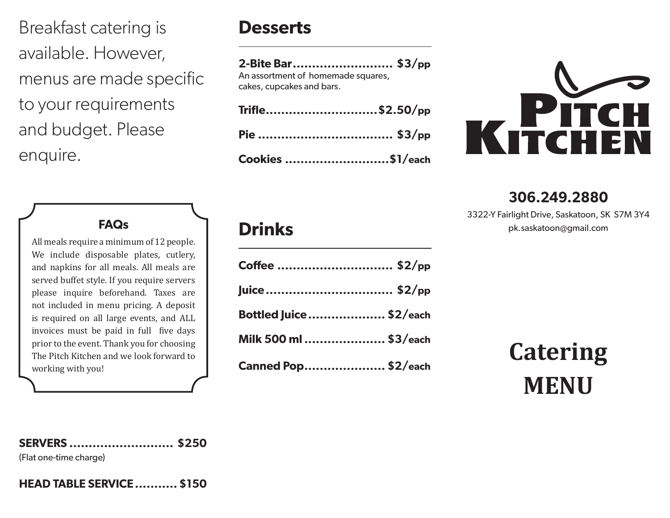Breakfast catering is available. However, menus are made specific to your requirements and budget. Please enquire.

# **Desserts**

#### **2-Bite Bar.......................... \$3/pp**

An assortment of homemade squares, cakes, cupcakes and bars.

| Trifle\$2.50/pp  |  |
|------------------|--|
|                  |  |
| Cookies \$1/each |  |



## **306.249.2880**

3322-Y Fairlight Drive, Saskatoon, SK S7M 3Y4 pk.saskatoon@gmail.com

### **FAQs**

All meals require a minimum of 12 people. We include disposable plates, cutlery, and napkins for all meals. All meals are served buffet style. If you require servers please inquire beforehand. Taxes are not included in menu pricing. A deposit is required on all large events, and ALL invoices must be paid in full five days prior to the event. Thank you for choosing The Pitch Kitchen and we look forward to working with you!

# **Drinks**

| Coffee  \$2/pp                 |  |
|--------------------------------|--|
| Juice \$2/pp                   |  |
| <b>Bottled Juice  \$2/each</b> |  |
| Milk 500 ml  \$3/each          |  |
| <b>Canned Pop \$2/each</b>     |  |

# **Catering MENU**

#### **SERVERS ........................... \$250**

(Flat one-time charge)